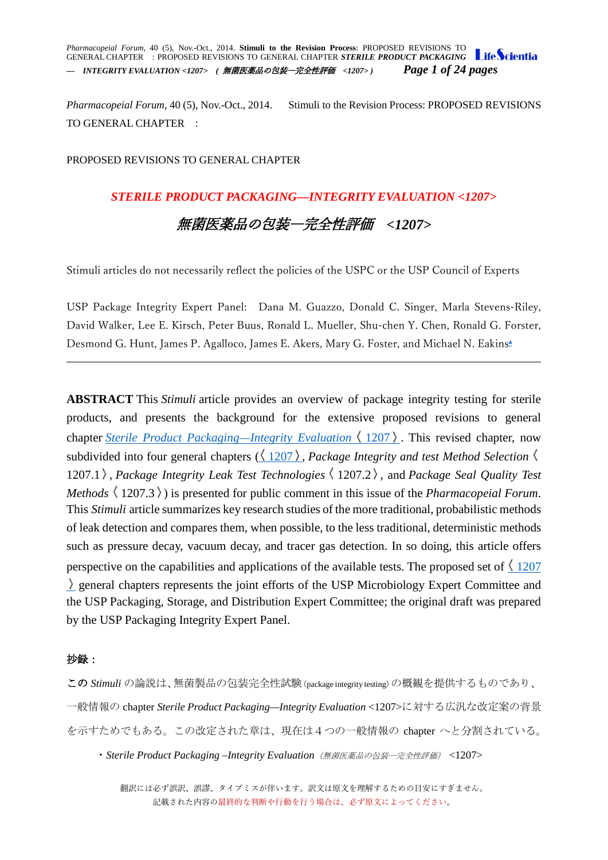*Pharmacopeial Forum,* 40 (5), Nov.-Oct., 2014. **Stimuli to the Revision Process**: PROPOSED REVISIONS TO GENERAL CHAPTER : PROPOSED REVISIONS TO GENERAL CHAPTER *STERILE PRODUCT PACKAGING — INTEGRITY EVALUATION <1207> (* 無菌医薬品の包装―完全性評価 *<1207> ) Page 1 of 24 pages*

*Pharmacopeial Forum,* 40 (5), Nov.-Oct., 2014. Stimuli to the Revision Process: PROPOSED REVISIONS TO GENERAL CHAPTER :

### PROPOSED REVISIONS TO GENERAL CHAPTER

### *STERILE PRODUCT PACKAGING—INTEGRITY EVALUATION <1207>*

# 無菌医薬品の包装―完全性評価 *<1207>*

Stimuli articles do not necessarily reflect the policies of the USPC or the USP Council of Experts

USP Package Integrity Expert Panel: Dana M. Guazzo, Donald C. Singer, Marla Stevens-Riley, David Walker, Lee E. Kirsch, Peter Buus, Ronald L. Mueller, Shu-chen Y. Chen, Ronald G. Forster, Desmond G. Hunt, James P. Agalloco, James E. Akers, Mary G. Foster, and Michael N. Eakins<sup>a</sup>

**ABSTRACT** This *Stimuli* article provides an overview of package integrity testing for sterile products, and presents the background for the extensive proposed revisions to general chapter *[Sterile Product Packaging—Integrity Evaluation](http://www.usppf.com/pf/pub/data/v405/CHA_IPR_405_c1207.html%23CHA_IPR_405_c1207)*  $\langle 1207 \rangle$ . This revised chapter, now subdivided into four general chapters  $(\langle 1207 \rangle)$  $(\langle 1207 \rangle)$  $(\langle 1207 \rangle)$ , *Package Integrity and test Method Selection* 1207.1 , *Package Integrity Leak Test Technologies* 1207.2 , and *Package Seal Quality Test Methods*  $\langle 1207.3 \rangle$  is presented for public comment in this issue of the *Pharmacopeial Forum*. This *Stimuli* article summarizes key research studies of the more traditional, probabilistic methods of leak detection and compares them, when possible, to the less traditional, deterministic methods such as pressure decay, vacuum decay, and tracer gas detection. In so doing, this article offers perspective on the capabilities and applications of the available tests. The proposed set of  $\langle 1207 \rangle$  $\langle 1207 \rangle$  $\langle 1207 \rangle$ general chapters represents the joint efforts of the USP Microbiology Expert Committee and the USP Packaging, Storage, and Distribution Expert Committee; the original draft was prepared by the USP Packaging Integrity Expert Panel.

### 抄録:

この *Stimuli* の論説は、無菌製品の包装完全性試験(package integrity testing)の概観を提供するものであり、 一般情報の chapter *[Sterile Product Packaging—Integrity Evaluation](http://www.usppf.com/pf/pub/data/v405/CHA_IPR_405_c1207.html%23CHA_IPR_405_c1207)* <1207>に対する広汎な改定案の背景 を示すためでもある。この改定された章は、現在は4つの一般情報の chapter へと分割されている。

・*Sterile Product Packaging –Integrity Evaluation*(無菌医薬品の包装―完全性評価) <1207>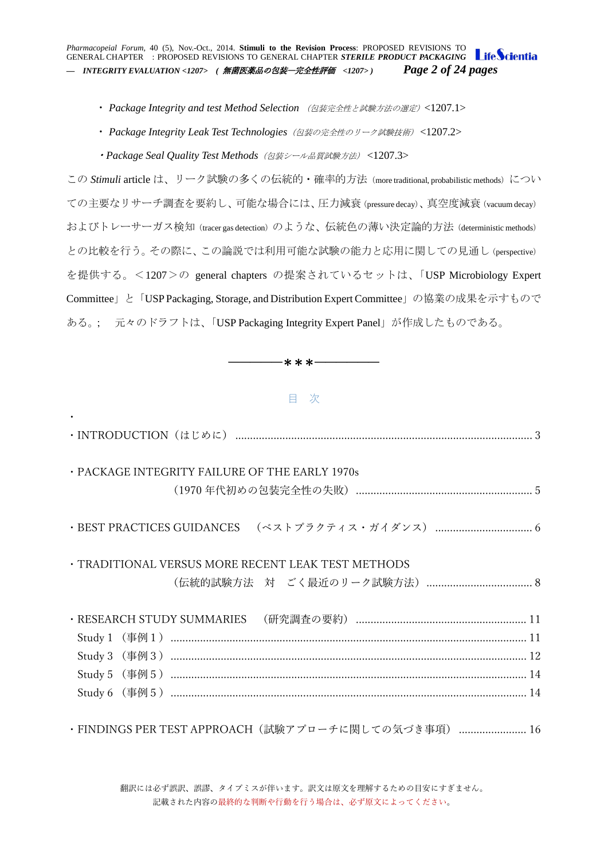*Pharmacopeial Forum,* 40 (5), Nov.-Oct., 2014. **Stimuli to the Revision Process**: PROPOSED REVISIONS TO GENERAL CHAPTER : PROPOSED REVISIONS TO GENERAL CHAPTER *STERILE PRODUCT PACKAGING — INTEGRITY EVALUATION <1207> (* 無菌医薬品の包装―完全性評価 *<1207> ) Page 2 of 24 pages*

- ・ *Package Integrity and test Method Selection* (包装完全性と試験方法の選定)<1207.1>
- ・ *Package Integrity Leak Test Technologies*(包装の完全性のリーク試験技術) <1207.2>
- ・*Package Seal Quality Test Methods*(包装シール品質試験方法) <1207.3>

この Stimuli article は、リーク試験の多くの伝統的·確率的方法 (more traditional, probabilistic methods) につい ての主要なリサーチ調査を要約し、可能な場合には、圧力減衰(pressure decay)、真空度減衰(vacuum decay) およびトレーサーガス検知 (tracer gas detection) のような、伝統色の薄い決定論的方法 (deterministic methods) との比較を行う。その際に、この論説では利用可能な試験の能力と応用に関しての見通し(perspective) を提供する。<1207>の general chapters の提案されているセットは、「USP Microbiology Expert Committee」と「USP Packaging, Storage, and Distribution Expert Committee」の協業の成果を示すもので ある。; 元々のドラフトは、「USP Packaging Integrity Expert Panel」が作成したものである。

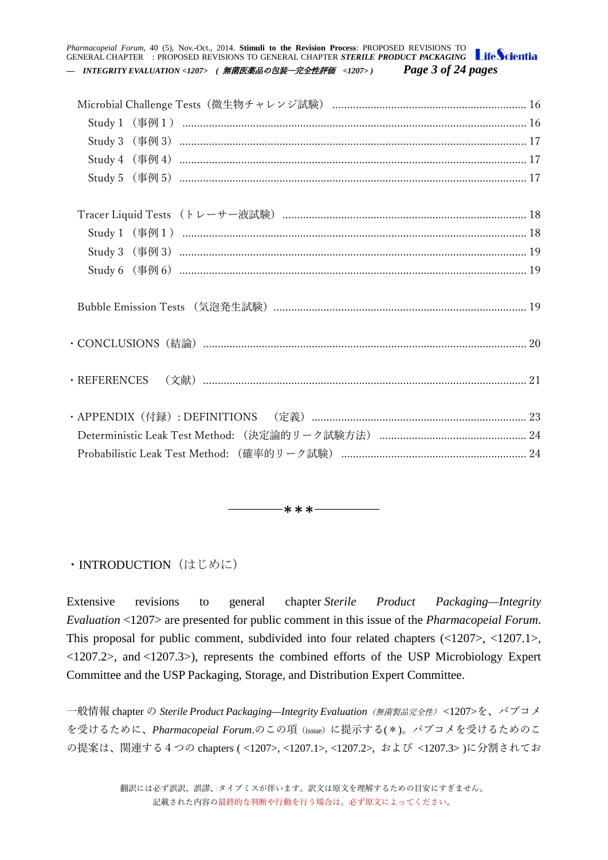*Pharmacopeial Forum,* 40 (5), Nov.-Oct., 2014. **Stimuli to the Revision Process**: PROPOSED REVISIONS TO GENERAL CHAPTER : PROPOSED REVISIONS TO GENERAL CHAPTER *STERILE PRODUCT PACKAGING — INTEGRITY EVALUATION <1207> (* 無菌医薬品の包装―完全性評価 *<1207> ) Page 3 of 24 pages*

<span id="page-2-0"></span>・INTRODUCTION (はじめに)

Extensive revisions to general chapter *Sterile Product Packaging—Integrity Evaluation* <1207> are presented for public comment in this issue of the *Pharmacopeial Forum*. This proposal for public comment, subdivided into four related chapters (<1207>, <1207.1>, <1207.2>, and <1207.3>), represents the combined efforts of the USP Microbiology Expert Committee and the USP Packaging, Storage, and Distribution Expert Committee.

―――――\*\*\*――――――

一般情報 chapter の *Sterile Product Packaging—Integrity Evaluation*(無菌製品完全性) [<1207>](http://www.usppf.com/pf/pub/data/v405/CHA_IPR_405_c1207.html%23CHA_IPR_405_c1207)を、パブコメ を受けるために、*Pharmacopeial Forum*.のこの項(issue)に提示する(\*)。パブコメを受けるためのこ の提案は、関連する4つの chapters ( <1207>, <1207.1>, <1207.2>, および <1207.3> )に分割されてお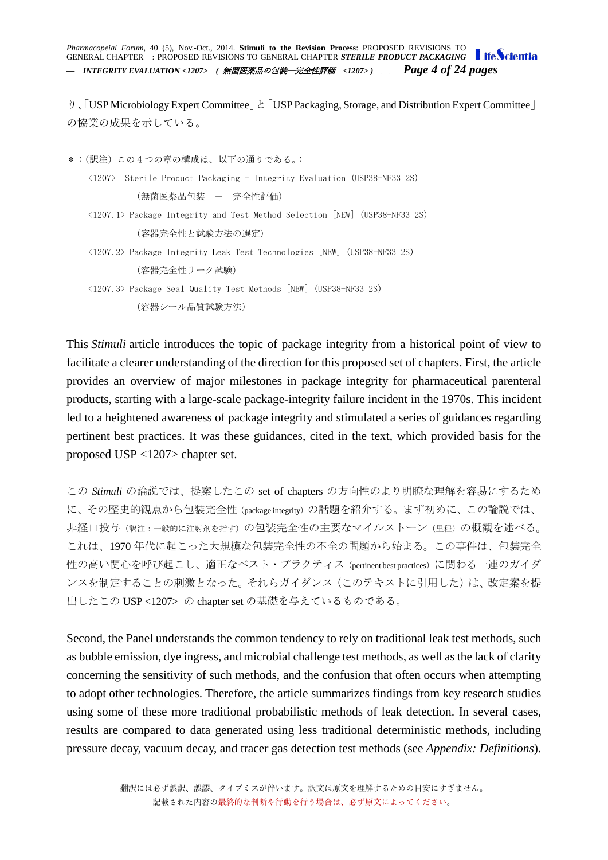*Pharmacopeial Forum,* 40 (5), Nov.-Oct., 2014. **Stimuli to the Revision Process**: PROPOSED REVISIONS TO GENERAL CHAPTER : PROPOSED REVISIONS TO GENERAL CHAPTER *STERILE PRODUCT PACKAGING — INTEGRITY EVALUATION <1207> (* 無菌医薬品の包装―完全性評価 *<1207> ) Page 4 of 24 pages*

り、「USP Microbiology Expert Committee」と「USP Packaging, Storage, and Distribution Expert Committee」 の協業の成果を示している。

\*:(訳注)この4つの章の構成は、以下の通りである。:

- <1207> Sterile Product Packaging Integrity Evaluation (USP38-NF33 2S) (無菌医薬品包装 - 完全性評価)
- <1207.1> Package Integrity and Test Method Selection [NEW] (USP38-NF33 2S) (容器完全性と試験方法の選定)
- <1207.2> Package Integrity Leak Test Technologies [NEW] (USP38-NF33 2S) (容器完全性リーク試験)
- <1207.3> Package Seal Quality Test Methods [NEW] (USP38-NF33 2S) (容器シール品質試験方法)

This *Stimuli* article introduces the topic of package integrity from a historical point of view to facilitate a clearer understanding of the direction for this proposed set of chapters. First, the article provides an overview of major milestones in package integrity for pharmaceutical parenteral products, starting with a large-scale package-integrity failure incident in the 1970s. This incident led to a heightened awareness of package integrity and stimulated a series of guidances regarding pertinent best practices. It was these guidances, cited in the text, which provided basis for the proposed USP <1207> chapter set.

この *Stimuli* の論説では、提案したこの set of chapters の方向性のより明瞭な理解を容易にするため に、その歴史的観点から包装完全性(package integrity)の話題を紹介する。まず初めに、この論説では、 非経口投与(訳注:一般的に注射剤を指す)の包装完全性の主要なマイルストーン(里程)の概観を述べる。 これは、1970 年代に起こった大規模な包装完全性の不全の問題から始まる。この事件は、包装完全 性の高い関心を呼び起こし、適正なベスト・プラクティス(pertinent best practices)に関わる一連のガイダ ンスを制定することの刺激となった。それらガイダンス(このテキストに引用した)は、改定案を提 出したこの USP <1207> の chapter set の基礎を与えているものである。

Second, the Panel understands the common tendency to rely on traditional leak test methods, such as bubble emission, dye ingress, and microbial challenge test methods, as well as the lack of clarity concerning the sensitivity of such methods, and the confusion that often occurs when attempting to adopt other technologies. Therefore, the article summarizes findings from key research studies using some of these more traditional probabilistic methods of leak detection. In several cases, results are compared to data generated using less traditional deterministic methods, including pressure decay, vacuum decay, and tracer gas detection test methods (see *Appendix: Definitions*).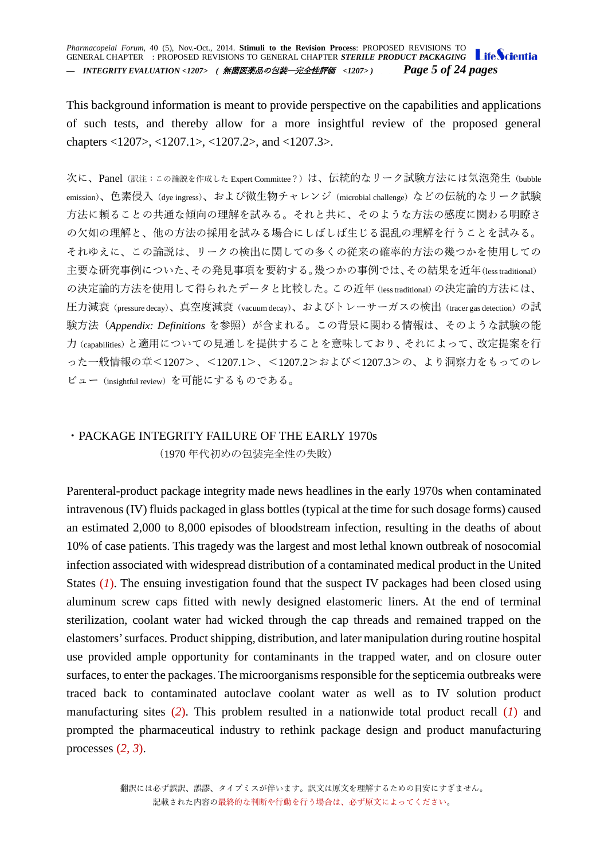*Pharmacopeial Forum,* 40 (5), Nov.-Oct., 2014. **Stimuli to the Revision Process**: PROPOSED REVISIONS TO GENERAL CHAPTER : PROPOSED REVISIONS TO GENERAL CHAPTER *STERILE PRODUCT PACKAGING — INTEGRITY EVALUATION <1207> (* 無菌医薬品の包装―完全性評価 *<1207> ) Page 5 of 24 pages*

This background information is meant to provide perspective on the capabilities and applications of such tests, and thereby allow for a more insightful review of the proposed general chapters <1207>, <1207.1>, <1207.2>, and <1207.3>.

次に、Panel (訳注:この論説を作成した Expert Committee?)は、伝統的なリーク試験方法には気泡発生(bubble emission)、色素侵入 (dye ingress)、および微生物チャレンジ (microbial challenge) などの伝統的なリーク試験 方法に頼ることの共通な傾向の理解を試みる。それと共に、そのような方法の感度に関わる明瞭さ の欠如の理解と、他の方法の採用を試みる場合にしばしば生じる混乱の理解を行うことを試みる。 それゆえに、この論説は、リークの検出に関しての多くの従来の確率的方法の幾つかを使用しての 主要な研究事例についた、その発見事項を要約する。幾つかの事例では、その結果を近年(less traditional) の決定論的方法を使用して得られたデータと比較した。この近年(less traditional)の決定論的方法には、 圧力減衰(pressure decay)、真空度減衰(vacuum decay)、およびトレーサーガスの検出(tracer gas detection)の試 験方法(*Appendix: Definitions* を参照)が含まれる。この背景に関わる情報は、そのような試験の能 力(capabilities)と適用についての見通しを提供することを意味しており、それによって、改定提案を行 った一般情報の章<1207>、<1207.1>、<1207.2>および<1207.3>の、より洞察力をもってのレ ビュー(insightful review)を可能にするものである。

## <span id="page-4-0"></span>・PACKAGE INTEGRITY FAILURE OF THE EARLY 1970s (1970 年代初めの包装完全性の失敗)

Parenteral-product package integrity made news headlines in the early 1970s when contaminated intravenous (IV) fluids packaged in glass bottles (typical at the time for such dosage forms) caused an estimated 2,000 to 8,000 episodes of bloodstream infection, resulting in the deaths of about 10% of case patients. This tragedy was the largest and most lethal known outbreak of nosocomial infection associated with widespread distribution of a contaminated medical product in the United States (*1*). The ensuing investigation found that the suspect IV packages had been closed using aluminum screw caps fitted with newly designed elastomeric liners. At the end of terminal sterilization, coolant water had wicked through the cap threads and remained trapped on the elastomers' surfaces. Product shipping, distribution, and later manipulation during routine hospital use provided ample opportunity for contaminants in the trapped water, and on closure outer surfaces, to enter the packages. The microorganisms responsible for the septicemia outbreaks were traced back to contaminated autoclave coolant water as well as to IV solution product manufacturing sites (*2*). This problem resulted in a nationwide total product recall (*1*) and prompted the pharmaceutical industry to rethink package design and product manufacturing processes (*2, 3*).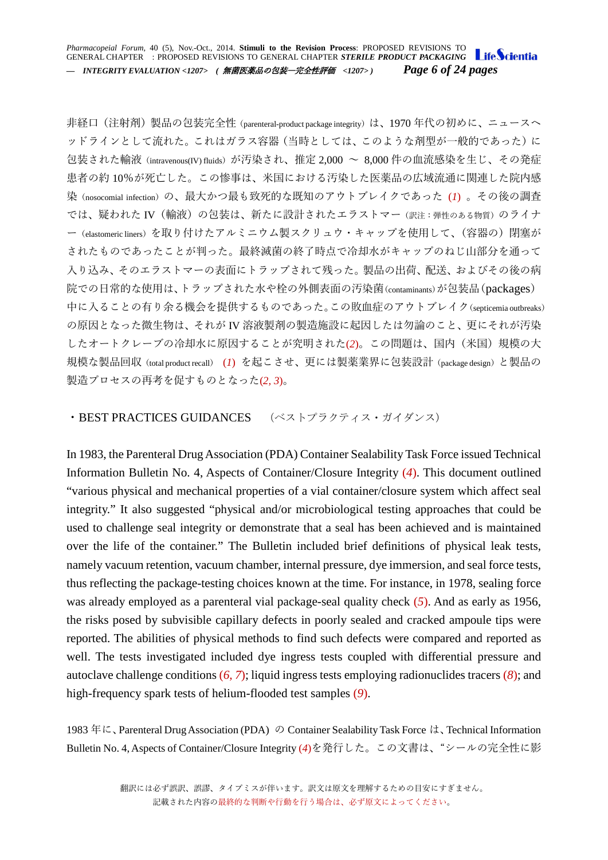*Pharmacopeial Forum,* 40 (5), Nov.-Oct., 2014. **Stimuli to the Revision Process**: PROPOSED REVISIONS TO GENERAL CHAPTER : PROPOSED REVISIONS TO GENERAL CHAPTER *STERILE PRODUCT PACKAGING — INTEGRITY EVALUATION <1207> (* 無菌医薬品の包装―完全性評価 *<1207> ) Page 6 of 24 pages*

非経口 (注射剤) 製品の包装完全性 (parenteral-product package integrity) は、1970 年代の初めに、ニュースへ ッドラインとして流れた。これはガラス容器(当時としては、このような剤型が一般的であった)に 包装された輸液(intravenous(IV) fluids)が汚染され、推定 2,000 ~ 8,000 件の血流感染を生じ、その発症 患者の約 10%が死亡した。この惨事は、米国における汚染した医薬品の広域流通に関連した院内感 染(nosocomial infection)の、最大かつ最も致死的な既知のアウトブレイクであった(I)。その後の調査 では、疑われた IV (輸液)の包装は、新たに設計されたエラストマー(訳注:弾性のある物質)のライナ ー(elastomeric liners)を取り付けたアルミニウム製スクリュウ・キャップを使用して、(容器の)閉塞が されたものであったことが判った。最終滅菌の終了時点で冷却水がキャップのねじ山部分を通って 入り込み、そのエラストマーの表面にトラップされて残った。製品の出荷、配送、およびその後の病 院での日常的な使用は、トラップされた水や栓の外側表面の汚染菌(contaminants)が包装品(packages) 中に入ることの有り余る機会を提供するものであった。この敗血症のアウトブレイク(septicemia outbreaks) の原因となった微生物は、それが IV 溶液製剤の製造施設に起因したは勿論のこと、更にそれが汚染 したオートクレーブの冷却水に原因することが究明された(*2*)。この問題は、国内(米国)規模の大 規模な製品回収(total product recall) (*I*) を起こさせ、更には製薬業界に包装設計(package design)と製品の 製造プロセスの再考を促すものとなった(*2, 3*)。

### <span id="page-5-0"></span>・BEST PRACTICES GUIDANCES (ベストプラクティス・ガイダンス)

In 1983, the Parenteral Drug Association (PDA) Container Sealability Task Force issued Technical Information Bulletin No. 4, Aspects of Container/Closure Integrity (*4*). This document outlined "various physical and mechanical properties of a vial container/closure system which affect seal integrity." It also suggested "physical and/or microbiological testing approaches that could be used to challenge seal integrity or demonstrate that a seal has been achieved and is maintained over the life of the container." The Bulletin included brief definitions of physical leak tests, namely vacuum retention, vacuum chamber, internal pressure, dye immersion, and seal force tests, thus reflecting the package-testing choices known at the time. For instance, in 1978, sealing force was already employed as a parenteral vial package-seal quality check (*5*). And as early as 1956, the risks posed by subvisible capillary defects in poorly sealed and cracked ampoule tips were reported. The abilities of physical methods to find such defects were compared and reported as well. The tests investigated included dye ingress tests coupled with differential pressure and autoclave challenge conditions (*6, 7*); liquid ingress tests employing radionuclides tracers (*8*); and high-frequency spark tests of helium-flooded test samples (*9*).

1983 年に、Parenteral Drug Association (PDA) の Container Sealability Task Force は、Technical Information Bulletin No. 4, Aspects of Container/Closure Integrity (*4*)を発行した。この文書は、"シールの完全性に影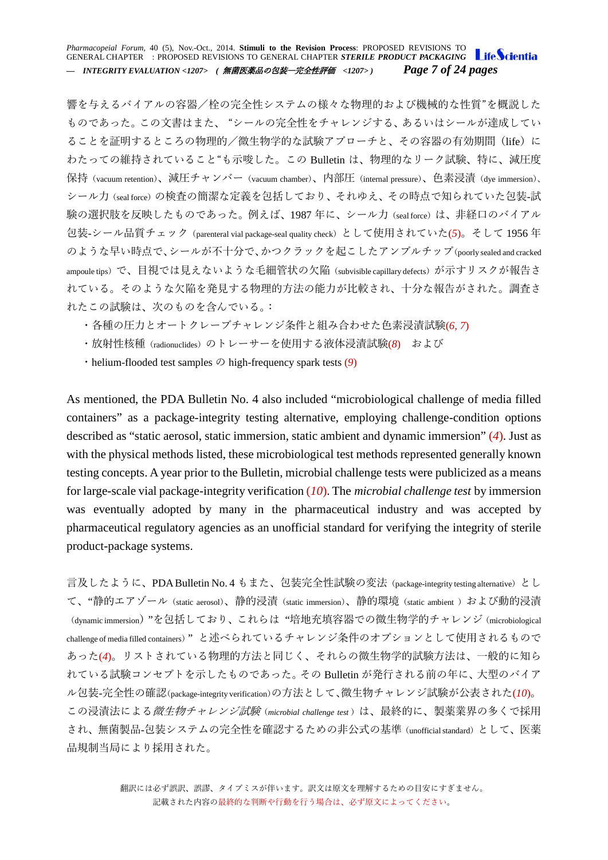*Pharmacopeial Forum,* 40 (5), Nov.-Oct., 2014. **Stimuli to the Revision Process**: PROPOSED REVISIONS TO GENERAL CHAPTER : PROPOSED REVISIONS TO GENERAL CHAPTER *STERILE PRODUCT PACKAGING* Life Scientia *— INTEGRITY EVALUATION <1207> (* 無菌医薬品の包装―完全性評価 *<1207> ) Page 7 of 24 pages*

響を与えるバイアルの容器/栓の完全性システムの様々な物理的および機械的な性質"を概説した ものであった。この文書はまた、 "シールの完全性をチャレンジする、あるいはシールが達成してい ることを証明するところの物理的/微生物学的な試験アプローチと、その容器の有効期間(life)に わたっての維持されていること"も示唆した。この Bulletin は、物理的なリーク試験、特に、減圧度 保持(vacuum retention)、減圧チャンバー(vacuum chamber)、内部圧(internal pressure)、色素浸漬(dye immersion)、 シール力(seal force)の検査の簡潔な定義を包括しており、それゆえ、その時点で知られていた包装-試 験の選択肢を反映したものであった。例えば、1987 年に、シール力 (seal force) は、非経口のバイアル 包装-シール品質チェック(parenteral vial package-seal quality check)として使用されていた(*5*)。そして 1956 年 のような早い時点で、シールが不十分で、かつクラックを起こしたアンプルチップ(poorly sealed and cracked ampoule tips)で、目視では見えないような毛細管状の欠陥(subvisible capillary defects)が示すリスクが報告さ れている。そのような欠陥を発見する物理的方法の能力が比較され、十分な報告がされた。調査さ れたこの試験は、次のものを含んでいる。:

- ・各種の圧力とオートクレーブチャレンジ条件と組み合わせた色素浸漬試験(*6, 7*)
- ・放射性核種(radionuclides)のトレーサーを使用する液体浸漬試験(*8*) および
- ・helium-flooded test samples の high-frequency spark tests (*9*)

As mentioned, the PDA Bulletin No. 4 also included "microbiological challenge of media filled containers" as a package-integrity testing alternative, employing challenge-condition options described as "static aerosol, static immersion, static ambient and dynamic immersion" (*4*). Just as with the physical methods listed, these microbiological test methods represented generally known testing concepts. A year prior to the Bulletin, microbial challenge tests were publicized as a means for large-scale vial package-integrity verification (*10*). The *microbial challenge test* by immersion was eventually adopted by many in the pharmaceutical industry and was accepted by pharmaceutical regulatory agencies as an unofficial standard for verifying the integrity of sterile product-package systems.

言及したように、PDA Bulletin No. 4 もまた、包装完全性試験の変法(package-integrity testing alternative)とし て、"静的エアゾール(static aerosol)、静的浸漬(static immersion)、静的環境(static ambient )および動的浸漬 (dynamic immersion) "を包括しており、これらは "培地充填容器での微生物学的チャレンジ (microbiological challenge of media filled containers)" と述べられているチャレンジ条件のオプションとして使用されるもので あった(*4*)。リストされている物理的方法と同じく、それらの微生物学的試験方法は、一般的に知ら れている試験コンセプトを示したものであった。その Bulletin が発行される前の年に、大型のバイア ル包装-完全性の確認(package-integrity verification)の方法として、微生物チャレンジ試験が公表された(*10*)。 この浸漬法による*微生物チャレンジ試験*(microbial challenge test)は、最終的に、製薬業界の多くで採用 され、無菌製品-包装システムの完全性を確認するための非公式の基準(unofficial standard)として、医薬 品規制当局により採用された。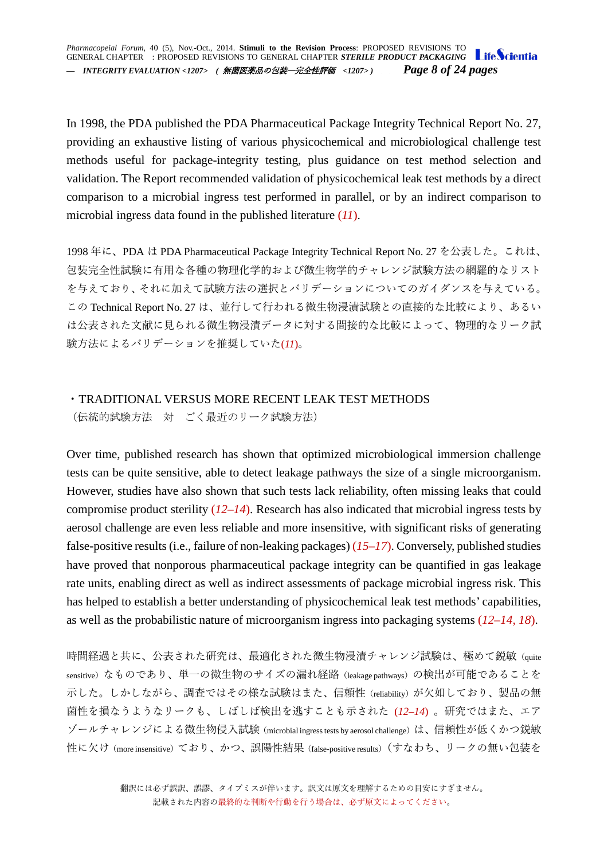In 1998, the PDA published the PDA Pharmaceutical Package Integrity Technical Report No. 27, providing an exhaustive listing of various physicochemical and microbiological challenge test methods useful for package-integrity testing, plus guidance on test method selection and validation. The Report recommended validation of physicochemical leak test methods by a direct comparison to a microbial ingress test performed in parallel, or by an indirect comparison to microbial ingress data found in the published literature (*11*).

1998 年に、PDA は PDA Pharmaceutical Package Integrity Technical Report No. 27 を公表した。これは、 包装完全性試験に有用な各種の物理化学的および微生物学的チャレンジ試験方法の網羅的なリスト を与えており、それに加えて試験方法の選択とバリデーションについてのガイダンスを与えている。 この Technical Report No. 27 は、並行して行われる微生物浸漬試験との直接的な比較により、あるい は公表された文献に見られる微生物浸漬データに対する間接的な比較によって、物理的なリーク試 験方法によるバリデーションを推奨していた(*11*)。

## <span id="page-7-0"></span>・TRADITIONAL VERSUS MORE RECENT LEAK TEST METHODS

(伝統的試験方法 対 ごく最近のリーク試験方法)

Over time, published research has shown that optimized microbiological immersion challenge tests can be quite sensitive, able to detect leakage pathways the size of a single microorganism. However, studies have also shown that such tests lack reliability, often missing leaks that could compromise product sterility (*12–14*). Research has also indicated that microbial ingress tests by aerosol challenge are even less reliable and more insensitive, with significant risks of generating false-positive results (i.e., failure of non-leaking packages) (*15–17*). Conversely, published studies have proved that nonporous pharmaceutical package integrity can be quantified in gas leakage rate units, enabling direct as well as indirect assessments of package microbial ingress risk. This has helped to establish a better understanding of physicochemical leak test methods' capabilities, as well as the probabilistic nature of microorganism ingress into packaging systems (*12–14, 18*).

時間経過と共に、公表された研究は、最適化された微生物浸漬チャレンジ試験は、極めて鋭敏(quite sensitive) なものであり、単一の微生物のサイズの漏れ経路 (leakage pathways) の検出が可能であることを 示した。しかしながら、調査ではその様な試験はまた、信頼性 (reliability) が欠如しており、製品の無 菌性を損なうようなリークも、しばしば検出を逃すことも示された (*12–14*) 。研究ではまた、エア ゾールチャレンジによる微生物侵入試験(microbial ingress tests by aerosol challenge)は、信頼性が低くかつ鋭敏 性に欠け(more insensitive)ており、かつ、誤陽性結果(false-positive results)(すなわち、リークの無い包装を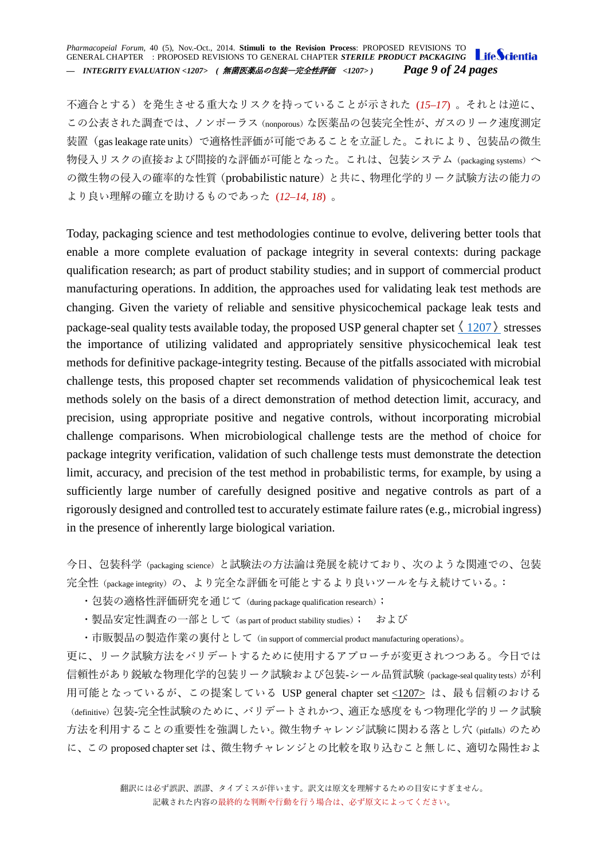*Pharmacopeial Forum,* 40 (5), Nov.-Oct., 2014. **Stimuli to the Revision Process**: PROPOSED REVISIONS TO GENERAL CHAPTER : PROPOSED REVISIONS TO GENERAL CHAPTER *STERILE PRODUCT PACKAGING — INTEGRITY EVALUATION <1207> (* 無菌医薬品の包装―完全性評価 *<1207> ) Page 9 of 24 pages*

不適合とする)を発生させる重大なリスクを持っていることが示された (*15–17*) 。それとは逆に、 この公表された調査では、ノンポーラス (nonporous) な医薬品の包装完全性が、ガスのリーク速度測定 装置(gas leakage rate units)で適格性評価が可能であることを立証した。これにより、包装品の微生 物侵入リスクの直接および間接的な評価が可能となった。これは、包装システム (packaging systems) へ の微生物の侵入の確率的な性質(probabilistic nature)と共に、物理化学的リーク試験方法の能力の より良い理解の確立を助けるものであった (*12–14, 18*) 。

Today, packaging science and test methodologies continue to evolve, delivering better tools that enable a more complete evaluation of package integrity in several contexts: during package qualification research; as part of product stability studies; and in support of commercial product manufacturing operations. In addition, the approaches used for validating leak test methods are changing. Given the variety of reliable and sensitive physicochemical package leak tests and package-seal quality tests available today, the proposed USP general chapter set  $\langle 1207 \rangle$  $\langle 1207 \rangle$  $\langle 1207 \rangle$  stresses the importance of utilizing validated and appropriately sensitive physicochemical leak test methods for definitive package-integrity testing. Because of the pitfalls associated with microbial challenge tests, this proposed chapter set recommends validation of physicochemical leak test methods solely on the basis of a direct demonstration of method detection limit, accuracy, and precision, using appropriate positive and negative controls, without incorporating microbial challenge comparisons. When microbiological challenge tests are the method of choice for package integrity verification, validation of such challenge tests must demonstrate the detection limit, accuracy, and precision of the test method in probabilistic terms, for example, by using a sufficiently large number of carefully designed positive and negative controls as part of a rigorously designed and controlled test to accurately estimate failure rates (e.g., microbial ingress) in the presence of inherently large biological variation.

今日、包装科学(packaging science)と試験法の方法論は発展を続けており、次のような関連での、包装 完全性(package integrity)の、より完全な評価を可能とするより良いツールを与え続けている。:

・包装の適格性評価研究を通じて (during package qualification research);

・製品安定性調査の一部として (as part of product stability studies); および

・市販製品の製造作業の裏付として(in support of commercial product manufacturing operations)。

更に、リーク試験方法をバリデートするために使用するアプローチが変更されつつある。今日では 信頼性があり鋭敏な物理化学的包装リーク試験および包装-シール品質試験 (package-seal quality tests) が利 用可能となっているが、この提案している USP general chapter set [<1207>](http://www.usppf.com/pf/pub/data/v405/CHA_IPR_405_c1207.html%23CHA_IPR_405_c1207) は、最も信頼のおける (definitive)包装-完全性試験のために、バリデートされかつ、適正な感度をもつ物理化学的リーク試験 方法を利用することの重要性を強調したい。微生物チャレンジ試験に関わる落とし穴 (pitfalls) のため に、この proposed chapter set は、微生物チャレンジとの比較を取り込むこと無しに、適切な陽性およ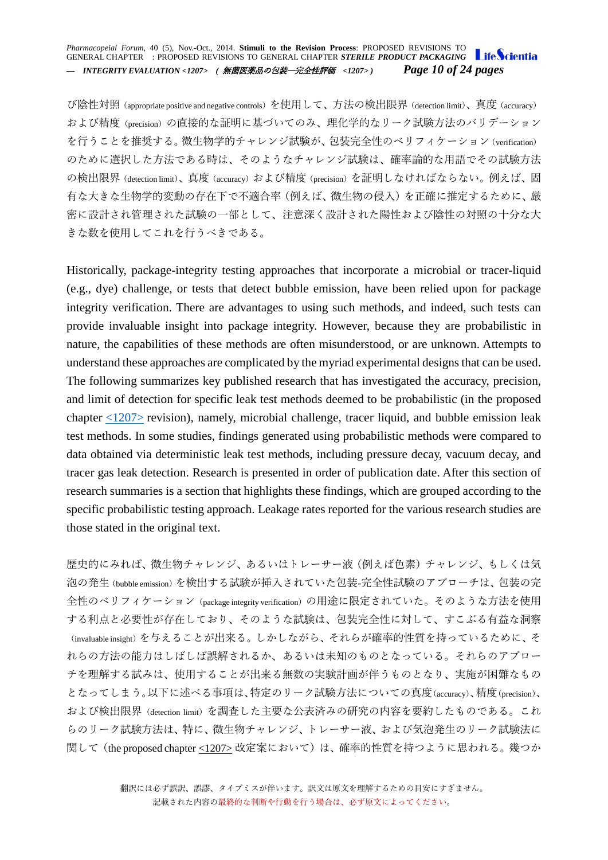#### *Pharmacopeial Forum,* 40 (5), Nov.-Oct., 2014. **Stimuli to the Revision Process**: PROPOSED REVISIONS TO GENERAL CHAPTER : PROPOSED REVISIONS TO GENERAL CHAPTER *STERILE PRODUCT PACKAGING — INTEGRITY EVALUATION <1207> (* 無菌医薬品の包装―完全性評価 *<1207> ) Page 10 of 24 pages*

び陰性対照(appropriate positive and negative controls)を使用して、方法の検出限界(detection limit)、真度(accuracy) および精度(precision)の直接的な証明に基づいてのみ、理化学的なリーク試験方法のバリデーション を行うことを推奨する。微生物学的チャレンジ試験が、包装完全性のベリフィケーション(verification) のために選択した方法である時は、そのようなチャレンジ試験は、確率論的な用語でその試験方法 の検出限界 (detection limit)、真度 (accuracy) および精度 (precision) を証明しなければならない。例えば、固 有な大きな生物学的変動の存在下で不適合率(例えば、微生物の侵入)を正確に推定するために、厳 密に設計され管理された試験の一部として、注意深く設計された陽性および陰性の対照の十分な大 きな数を使用してこれを行うべきである。

Historically, package-integrity testing approaches that incorporate a microbial or tracer-liquid (e.g., dye) challenge, or tests that detect bubble emission, have been relied upon for package integrity verification. There are advantages to using such methods, and indeed, such tests can provide invaluable insight into package integrity. However, because they are probabilistic in nature, the capabilities of these methods are often misunderstood, or are unknown. Attempts to understand these approaches are complicated by the myriad experimental designs that can be used. The following summarizes key published research that has investigated the accuracy, precision, and limit of detection for specific leak test methods deemed to be probabilistic (in the proposed chapter  $\leq$ 1207> revision), namely, microbial challenge, tracer liquid, and bubble emission leak test methods. In some studies, findings generated using probabilistic methods were compared to data obtained via deterministic leak test methods, including pressure decay, vacuum decay, and tracer gas leak detection. Research is presented in order of publication date. After this section of research summaries is a section that highlights these findings, which are grouped according to the specific probabilistic testing approach. Leakage rates reported for the various research studies are those stated in the original text.

歴史的にみれば、微生物チャレンジ、あるいはトレーサー液(例えば色素)チャレンジ、もしくは気 泡の発生(bubble emission)を検出する試験が挿入されていた包装-完全性試験のアプローチは、包装の完 全性のベリフィケーション(package integrity verification)の用途に限定されていた。そのような方法を使用 する利点と必要性が存在しており、そのような試験は、包装完全性に対して、すこぶる有益な洞察 (invaluable insight)を与えることが出来る。しかしながら、それらが確率的性質を持っているために、そ れらの方法の能力はしばしば誤解されるか、あるいは未知のものとなっている。それらのアプロー チを理解する試みは、使用することが出来る無数の実験計画が伴うものとなり、実施が困難なもの となってしまう。以下に述べる事項は、特定のリーク試験方法についての真度(accuracy)、精度(precision)、 および検出限界(detection limit)を調査した主要な公表済みの研究の内容を要約したものである。これ らのリーク試験方法は、特に、微生物チャレンジ、トレーサー液、および気泡発生のリーク試験法に 関して(the proposed chapter [<1207>](http://www.usppf.com/pf/pub/data/v405/CHA_IPR_405_c1207.html%23CHA_IPR_405_c1207) 改定案において)は、確率的性質を持つように思われる。幾つか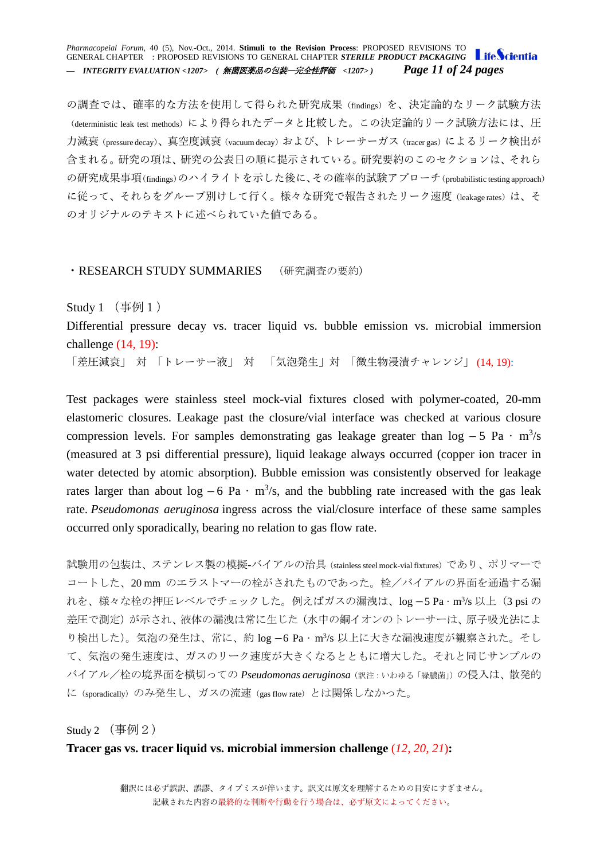*Pharmacopeial Forum,* 40 (5), Nov.-Oct., 2014. **Stimuli to the Revision Process**: PROPOSED REVISIONS TO GENERAL CHAPTER : PROPOSED REVISIONS TO GENERAL CHAPTER *STERILE PRODUCT PACKAGING* Life Scientia *— INTEGRITY EVALUATION <1207> (* 無菌医薬品の包装―完全性評価 *<1207> ) Page 11 of 24 pages*

の調査では、確率的な方法を使用して得られた研究成果(findings)を、決定論的なリーク試験方法 (deterministic leak test methods) により得られたデータと比較した。この決定論的リーク試験方法には、圧 力減衰(pressure decay)、真空度減衰(vacuum decay)および、トレーサーガス(tracer gas)によるリーク検出が 含まれる。研究の項は、研究の公表日の順に提示されている。研究要約のこのセクションは、それら の研究成果事項(findings)のハイライトを示した後に、その確率的試験アプローチ(probabilistic testing approach) に従って、それらをグループ別けして行く。様々な研究で報告されたリーク速度 (leakage rates)は、そ のオリジナルのテキストに述べられていた値である。

### <span id="page-10-0"></span>・RESEARCH STUDY SUMMARIES (研究調査の要約)

<span id="page-10-1"></span>Study  $1$  (事例 $1$ )

Differential pressure decay vs. tracer liquid vs. bubble emission vs. microbial immersion challenge (14, 19):

「差圧減衰」 対 「トレーサー液」 対 「気泡発生」対 「微生物浸漬チャレンジ」 (14, 19):

Test packages were stainless steel mock-vial fixtures closed with polymer-coated, 20-mm elastomeric closures. Leakage past the closure/vial interface was checked at various closure compression levels. For samples demonstrating gas leakage greater than  $\log -5$  Pa  $\cdot$  m<sup>3</sup>/s (measured at 3 psi differential pressure), liquid leakage always occurred (copper ion tracer in water detected by atomic absorption). Bubble emission was consistently observed for leakage rates larger than about  $log -6$  Pa  $\cdot$  m<sup>3</sup>/s, and the bubbling rate increased with the gas leak rate. *Pseudomonas aeruginosa* ingress across the vial/closure interface of these same samples occurred only sporadically, bearing no relation to gas flow rate.

試験用の包装は、ステンレス製の模擬-バイアルの治具(stainless steel mock-vial fixtures)であり、ポリマーで コートした、20 mm のエラストマーの栓がされたものであった。栓/バイアルの界面を通過する漏 れを、様々な栓の押圧レベルでチェックした。例えばガスの漏洩は、log -5 Pa · m<sup>3</sup>/s 以上(3 psi の 差圧で測定)が示され、液体の漏洩は常に生じた(水中の銅イオンのトレーサーは、原子吸光法によ り検出した)。気泡の発生は、常に、約 log -6 Pa · m<sup>3</sup>/s 以上に大きな漏洩速度が観察された。そし て、気泡の発生速度は、ガスのリーク速度が大きくなるとともに増大した。それと同じサンプルの バイアル/栓の境界面を横切っての *Pseudomonas aeruginosa*(訳注:いわゆる「緑膿菌」)の侵入は、散発的 に(sporadically)のみ発生し、ガスの流速(gas flow rate)とは関係しなかった。

Study  $2 \left( \frac{1}{2} \frac{1}{2} \right)$ 

### **Tracer gas vs. tracer liquid vs. microbial immersion challenge** (*12, 20, 21*)**:**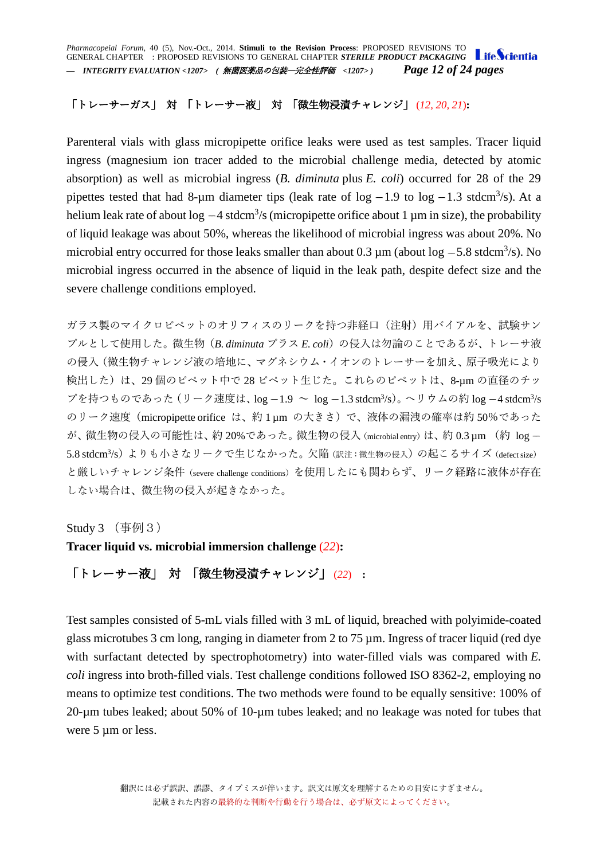*Pharmacopeial Forum,* 40 (5), Nov.-Oct., 2014. **Stimuli to the Revision Process**: PROPOSED REVISIONS TO GENERAL CHAPTER : PROPOSED REVISIONS TO GENERAL CHAPTER *STERILE PRODUCT PACKAGING — INTEGRITY EVALUATION <1207> (* 無菌医薬品の包装―完全性評価 *<1207> ) Page 12 of 24 pages*

# 「トレーサーガス」 対 「トレーサー液」 対 「微生物浸漬チャレンジ」 (*12, 20, 21*)**:**

Parenteral vials with glass micropipette orifice leaks were used as test samples. Tracer liquid ingress (magnesium ion tracer added to the microbial challenge media, detected by atomic absorption) as well as microbial ingress (*B. diminuta* plus *E. coli*) occurred for 28 of the 29 pipettes tested that had 8-µm diameter tips (leak rate of  $log -1.9$  to  $log -1.3$  stdcm<sup>3</sup>/s). At a helium leak rate of about  $log -4$  stdcm<sup>3</sup>/s (micropipette orifice about 1  $\mu$ m in size), the probability of liquid leakage was about 50%, whereas the likelihood of microbial ingress was about 20%. No microbial entry occurred for those leaks smaller than about  $0.3 \mu$ m (about log  $-5.8 \text{ stdcm}^3/\text{s}$ ). No microbial ingress occurred in the absence of liquid in the leak path, despite defect size and the severe challenge conditions employed.

ガラス製のマイクロピペットのオリフィスのリークを持つ非経口(注射)用バイアルを、試験サン プルとして使用した。微生物(*B. diminuta* プラス *E. coli*)の侵入は勿論のことであるが、トレーサ液 の侵入(微生物チャレンジ液の培地に、マグネシウム・イオンのトレーサーを加え、原子吸光により 検出した)は、29個のピペット中で 28 ピペット生じた。これらのピペットは、8-um の直径のチッ プを持つものであった (リーク速度は、log −1.9 ∼ log −1.3 stdcm<sup>3</sup>/s)。ヘリウムの約 log −4 stdcm<sup>3</sup>/s のリーク速度 (micropipette orifice は、約 1 μm の大きさ)で、液体の漏洩の確率は約 50%であった が、微生物の侵入の可能性は、約20%であった。微生物の侵入 (microbial entry) は、約0.3μm (約 log-5.8 stdcm<sup>3</sup>/s) よりも小さなリークで生じなかった。欠陥(訳注:微生物の侵入)の起こるサイズ(defect size) と厳しいチャレンジ条件(severe challenge conditions)を使用したにも関わらず、リーク経路に液体が存在 しない場合は、微生物の侵入が起きなかった。

<span id="page-11-0"></span>Study 3 (事例3)

**Tracer liquid vs. microbial immersion challenge** (*22*)**:**

「トレーサー液」 対 「微生物浸漬チャレンジ」 (*22*) **:**

Test samples consisted of 5-mL vials filled with 3 mL of liquid, breached with polyimide-coated glass microtubes 3 cm long, ranging in diameter from 2 to 75 µm. Ingress of tracer liquid (red dye with surfactant detected by spectrophotometry) into water-filled vials was compared with *E. coli* ingress into broth-filled vials. Test challenge conditions followed ISO 8362-2, employing no means to optimize test conditions. The two methods were found to be equally sensitive: 100% of 20-µm tubes leaked; about 50% of 10-µm tubes leaked; and no leakage was noted for tubes that were 5  $\mu$ m or less.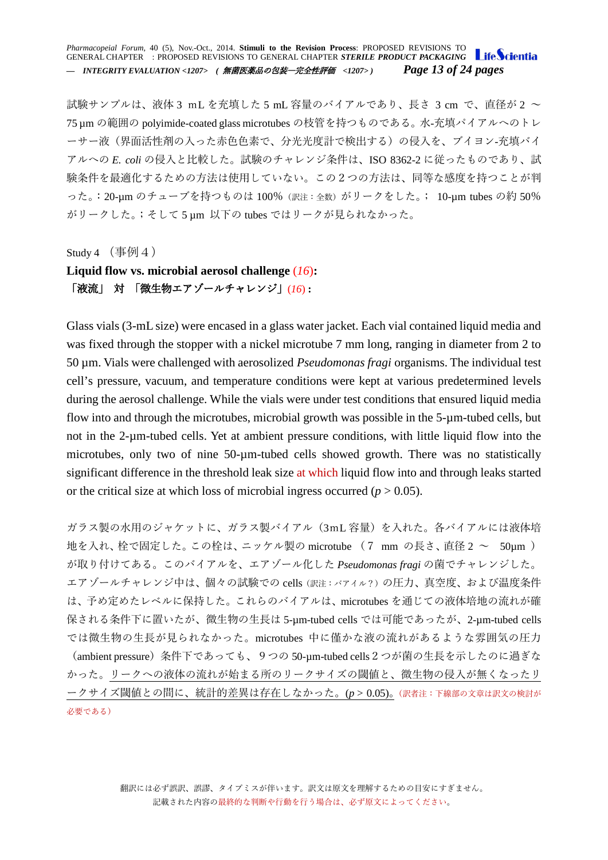#### *Pharmacopeial Forum,* 40 (5), Nov.-Oct., 2014. **Stimuli to the Revision Process**: PROPOSED REVISIONS TO GENERAL CHAPTER : PROPOSED REVISIONS TO GENERAL CHAPTER *STERILE PRODUCT PACKAGING* Life Scientia *— INTEGRITY EVALUATION <1207> (* 無菌医薬品の包装―完全性評価 *<1207> ) Page 13 of 24 pages*

試験サンプルは、液体 3 mL を充填した 5 mL 容量のバイアルであり、長さ 3 cm で、直径が 2 ~ 75 µm の範囲の polyimide-coated glass microtubes の枝管を持つものである。水-充填パイアルへのトレ ーサー液(界面活性剤の入った赤色色素で、分光光度計で検出する)の侵入を、ブイヨン-充填バイ アルへの *E. coli* の侵入と比較した。試験のチャレンジ条件は、ISO 8362-2 に従ったものであり、試 験条件を最適化するための方法は使用していない。この2つの方法は、同等な感度を持つことが判 った。:20-µm のチューブを持つものは 100%(訳注:全数)がリークをした。; 10-µm tubes の約 50% がリークした。;そして 5 µm 以下の tubes ではリークが見られなかった。

Study 4  $($ 事例 4)

## **Liquid flow vs. microbial aerosol challenge** (*16*)**:** 「液流」 対 「微生物エアゾールチャレンジ」(*16*) **:**

Glass vials (3-mL size) were encased in a glass water jacket. Each vial contained liquid media and was fixed through the stopper with a nickel microtube 7 mm long, ranging in diameter from 2 to 50 µm. Vials were challenged with aerosolized *Pseudomonas fragi* organisms. The individual test cell's pressure, vacuum, and temperature conditions were kept at various predetermined levels during the aerosol challenge. While the vials were under test conditions that ensured liquid media flow into and through the microtubes, microbial growth was possible in the 5-µm-tubed cells, but not in the 2-µm-tubed cells. Yet at ambient pressure conditions, with little liquid flow into the microtubes, only two of nine 50-µm-tubed cells showed growth. There was no statistically significant difference in the threshold leak size at which liquid flow into and through leaks started or the critical size at which loss of microbial ingress occurred  $(p > 0.05)$ .

ガラス製の水用のジャケットに、ガラス製バイアル(3mL 容量)を入れた。各バイアルには液体培 地を入れ、栓で固定した。この栓は、ニッケル製の microtube (7 mm の長さ、直径 2 ~ 50µm ) が取り付けてある。このバイアルを、エアゾール化した *Pseudomonas fragi* の菌でチャレンジした。 エアゾールチャレンジ中は、個々の試験での cells (訳注:バアイル?)の圧力、真空度、および温度条件 は、予め定めたレベルに保持した。これらのバイアルは、microtubes を通じての液体培地の流れが確 保される条件下に置いたが、微生物の生長は 5-µm-tubed cells では可能であったが、2-µm-tubed cells では微生物の生長が見られなかった。microtubes 中に僅かな液の流れがあるような雰囲気の圧力 (ambient pressure)条件下であっても、9つの 50-µm-tubed cells2つが菌の生長を示したのに過ぎな かった。リークへの液体の流れが始まる所のリークサイズの閾値と、微生物の侵入が無くなったリ ークサイズ閾値との間に、統計的差異は存在しなかった。(*p* > 0.05)。(訳者注:下線部の文章は訳文の検討が 必要である)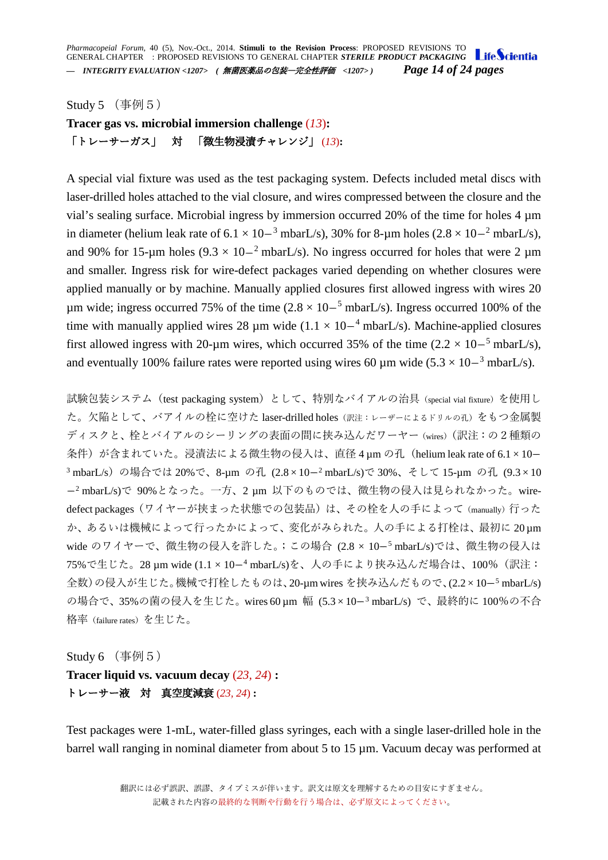*Pharmacopeial Forum,* 40 (5), Nov.-Oct., 2014. **Stimuli to the Revision Process**: PROPOSED REVISIONS TO GENERAL CHAPTER : PROPOSED REVISIONS TO GENERAL CHAPTER *STERILE PRODUCT PACKAGING — INTEGRITY EVALUATION <1207> (* 無菌医薬品の包装―完全性評価 *<1207> ) Page 14 of 24 pages*

<span id="page-13-0"></span>Study 5 (事例5)

**Tracer gas vs. microbial immersion challenge** (*13*)**:** 「トレーサーガス」 対 「微生物浸漬チャレンジ」 (*13*)**:**

A special vial fixture was used as the test packaging system. Defects included metal discs with laser-drilled holes attached to the vial closure, and wires compressed between the closure and the vial's sealing surface. Microbial ingress by immersion occurred 20% of the time for holes 4 µm in diameter (helium leak rate of  $6.1 \times 10^{-3}$  mbarL/s), 30% for 8-µm holes  $(2.8 \times 10^{-2}$  mbarL/s), and 90% for 15-µm holes (9.3  $\times$  10-<sup>2</sup> mbarL/s). No ingress occurred for holes that were 2 µm and smaller. Ingress risk for wire-defect packages varied depending on whether closures were applied manually or by machine. Manually applied closures first allowed ingress with wires 20 um wide; ingress occurred 75% of the time  $(2.8 \times 10^{-5} \text{ mbarL/s})$ . Ingress occurred 100% of the time with manually applied wires 28  $\mu$ m wide (1.1 × 10–<sup>4</sup> mbarL/s). Machine-applied closures first allowed ingress with 20-µm wires, which occurred 35% of the time  $(2.2 \times 10^{-5} \text{ mbarL/s})$ , and eventually 100% failure rates were reported using wires 60 µm wide  $(5.3 \times 10^{-3} \text{ mbarL/s})$ .

試験包装システム(test packaging system)として、特別なバイアルの治具(special vial fixture)を使用し た。欠陥として、バアイルの栓に空けた laser-drilled holes(訳注:レーザーによるドリルの孔)をもつ金属製 ディスクと、栓とバイアルのシーリングの表面の間に挟み込んだワーヤー(wires)(訳注:の2種類の 条件)が含まれていた。浸漬法による微生物の侵入は、直径 4 μm の孔 (helium leak rate of 6.1 × 10-<sup>3</sup> mbarL/s)の場合では 20%で、8-µm の孔 (2.8×10-<sup>2</sup> mbarL/s)で 30%、そして 15-µm の孔 (9.3×10  $-$ <sup>2</sup> mbarL/s)で 90%となった。一方、2 μm 以下のものでは、微生物の侵入は見られなかった。wiredefect packages (ワイヤーが挟まった状態での包装品)は、その栓を人の手によって (manually) 行った か、あるいは機械によって行ったかによって、変化がみられた。人の手による打栓は、最初に 20 µm wide のワイヤーで、微生物の侵入を許した。;この場合 (2.8 × 10-5 mbarL/s)では、微生物の侵入は 75%で生じた。28 um wide (1.1 × 10-4 mbarL/s)を、人の手により挟み込んだ場合は、100%(訳注: 全数)の侵入が生じた。機械で打栓したものは、20-µm wires を挟み込んだもので、(2.2×10-5 mbarL/s) の場合で、35%の菌の侵入を生じた。wires 60 μm 幅 (5.3 × 10-<sup>3</sup> mbarL/s) で、最終的に 100%の不合 格率(failure rates)を生じた。

<span id="page-13-1"></span>Study  $6$  (事例 $5)$ 

**Tracer liquid vs. vacuum decay** (*23, 24*) **:** トレーサー液 対 真空度減衰 (*23, 24*) **:**

Test packages were 1-mL, water-filled glass syringes, each with a single laser-drilled hole in the barrel wall ranging in nominal diameter from about 5 to 15 µm. Vacuum decay was performed at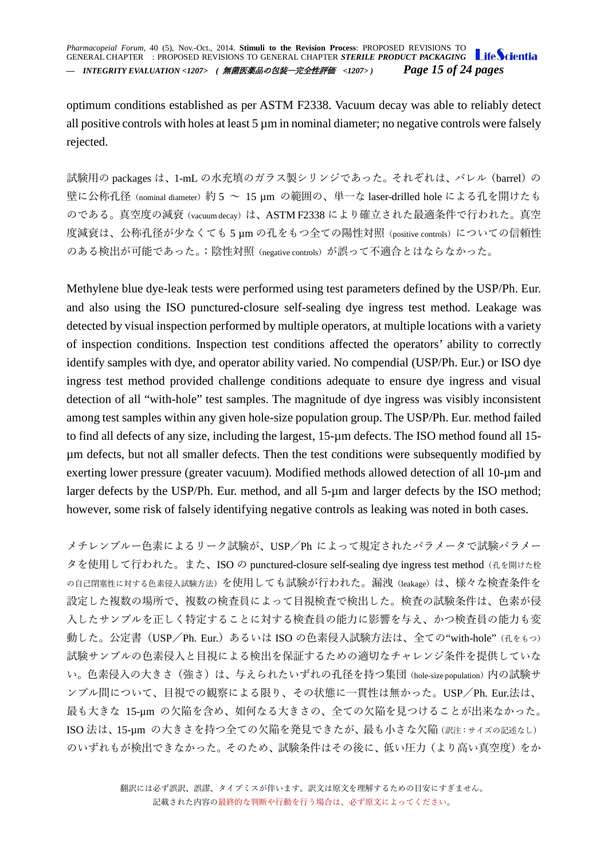optimum conditions established as per ASTM F2338. Vacuum decay was able to reliably detect all positive controls with holes at least 5  $\mu$ m in nominal diameter; no negative controls were falsely rejected.

試験用の packages は、1-mL の水充填のガラス製シリンジであった。それぞれは、バレル(barrel)の 壁に公称孔径 (nominal diameter) 約 5 ~ 15 μm の範囲の、単一な laser-drilled hole による孔を開けたも のである。真空度の減衰(vacuum decay)は、ASTM F2338 により確立された最適条件で行われた。真空 度減衰は、公称孔径が少なくても 5 μm の孔をもつ全ての陽性対照 (positive controls) についての信頼性 のある検出が可能であった。;陰性対照(negative controls)が誤って不適合とはならなかった。

Methylene blue dye-leak tests were performed using test parameters defined by the USP/Ph. Eur. and also using the ISO punctured-closure self-sealing dye ingress test method. Leakage was detected by visual inspection performed by multiple operators, at multiple locations with a variety of inspection conditions. Inspection test conditions affected the operators' ability to correctly identify samples with dye, and operator ability varied. No compendial (USP/Ph. Eur.) or ISO dye ingress test method provided challenge conditions adequate to ensure dye ingress and visual detection of all "with-hole" test samples. The magnitude of dye ingress was visibly inconsistent among test samples within any given hole-size population group. The USP/Ph. Eur. method failed to find all defects of any size, including the largest, 15-µm defects. The ISO method found all 15 µm defects, but not all smaller defects. Then the test conditions were subsequently modified by exerting lower pressure (greater vacuum). Modified methods allowed detection of all 10-µm and larger defects by the USP/Ph. Eur. method, and all 5-µm and larger defects by the ISO method; however, some risk of falsely identifying negative controls as leaking was noted in both cases.

メチレンブルー色素によるリーク試験が、USP/Ph によって規定されたパラメータで試験パラメー タを使用して行われた。また、ISO の punctured-closure self-sealing dye ingress test method (孔を開けた栓 の自己閉塞性に対する色素侵入試験方法)を使用しても試験が行われた。漏洩(leakage)は、様々な検査条件を 設定した複数の場所で、複数の検査員によって目視検査で検出した。検査の試験条件は、色素が侵 入したサンプルを正しく特定することに対する検査員の能力に影響を与え、かつ検査員の能力も変 動した。公定書 (USP/Ph. Eur.) あるいは ISO の色素侵入試験方法は、全ての"with-hole"(孔をもつ) 試験サンプルの色素侵入と目視による検出を保証するための適切なチャレンジ条件を提供していな い。色素侵入の大きさ(強さ)は、与えられたいずれの孔径を持つ集団 (hole-size population)内の試験サ ンプル間について、目視での観察による限り、その状態に一貫性は無かった。USP/Ph. Eur.法は、 最も大きな 15-µm の欠陥を含め、如何なる大きさの、全ての欠陥を見つけることが出来なかった。 ISO 法は、15-µm の大きさを持つ全ての欠陥を発見できたが、最も小さな欠陥(訳注:サイズの記述なし) のいずれもが検出できなかった。そのため、試験条件はその後に、低い圧力(より高い真空度)をか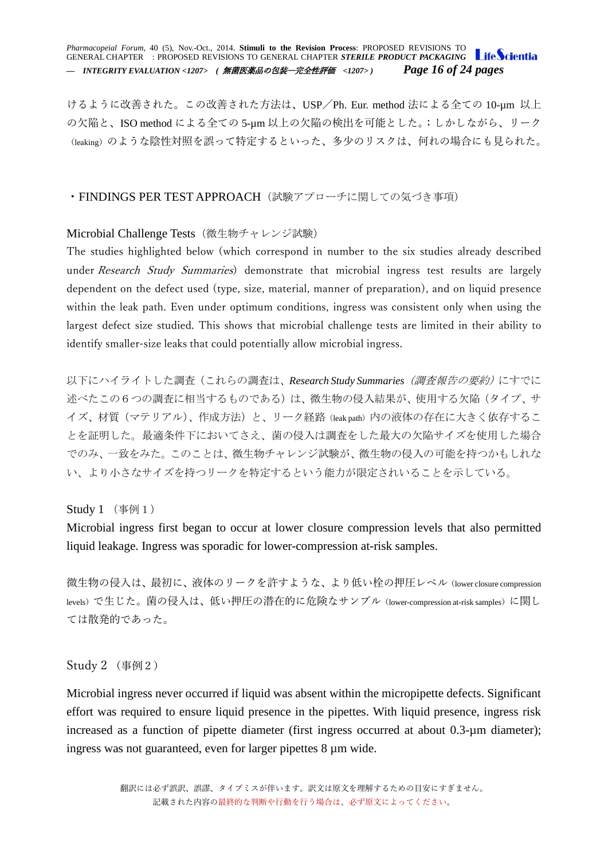*Pharmacopeial Forum,* 40 (5), Nov.-Oct., 2014. **Stimuli to the Revision Process**: PROPOSED REVISIONS TO GENERAL CHAPTER : PROPOSED REVISIONS TO GENERAL CHAPTER *STERILE PRODUCT PACKAGING — INTEGRITY EVALUATION <1207> (* 無菌医薬品の包装―完全性評価 *<1207> ) Page 16 of 24 pages*

けるように改善された。この改善された方法は、USP/Ph. Eur. method 法による全ての 10-µm 以上 の欠陥と、ISO method による全ての 5-µm 以上の欠陥の検出を可能とした。;しかしながら、リーク (leaking)のような陰性対照を誤って特定するといった、多少のリスクは、何れの場合にも見られた。

### <span id="page-15-0"></span>・FINDINGS PER TEST APPROACH (試験アプローチに関しての気づき事項)

### <span id="page-15-1"></span>Microbial Challenge Tests (微生物チャレンジ試験)

The studies highlighted below (which correspond in number to the six studies already described under Research Study Summaries) demonstrate that microbial ingress test results are largely dependent on the defect used (type, size, material, manner of preparation), and on liquid presence within the leak path. Even under optimum conditions, ingress was consistent only when using the largest defect size studied. This shows that microbial challenge tests are limited in their ability to identify smaller-size leaks that could potentially allow microbial ingress.

以下にハイライトした調査(これらの調査は、*Research Study Summaries*(調査報告の要約)にすでに 述べたこの6つの調査に相当するものである)は、微生物の侵入結果が、使用する欠陥(タイプ、サ イズ、材質(マテリアル)、作成方法)と、リーク経路(leak path)内の液体の存在に大きく依存するこ とを証明した。最適条件下においてさえ、菌の侵入は調査をした最大の欠陥サイズを使用した場合 でのみ、一致をみた。このことは、微生物チャレンジ試験が、微生物の侵入の可能を持つかもしれな い、より小さなサイズを持つリークを特定するという能力が限定されいることを示している。

<span id="page-15-2"></span>Study 1 (事例1)

Microbial ingress first began to occur at lower closure compression levels that also permitted liquid leakage. Ingress was sporadic for lower-compression at-risk samples.

微生物の侵入は、最初に、液体のリークを許すような、より低い栓の押圧レベル(lower closure compression levels)で生じた。菌の侵入は、低い押圧の潜在的に危険なサンプル(lower-compression at-risk samples)に関し ては散発的であった。

Study 2 (事例2)

Microbial ingress never occurred if liquid was absent within the micropipette defects. Significant effort was required to ensure liquid presence in the pipettes. With liquid presence, ingress risk increased as a function of pipette diameter (first ingress occurred at about 0.3-µm diameter); ingress was not guaranteed, even for larger pipettes 8 µm wide.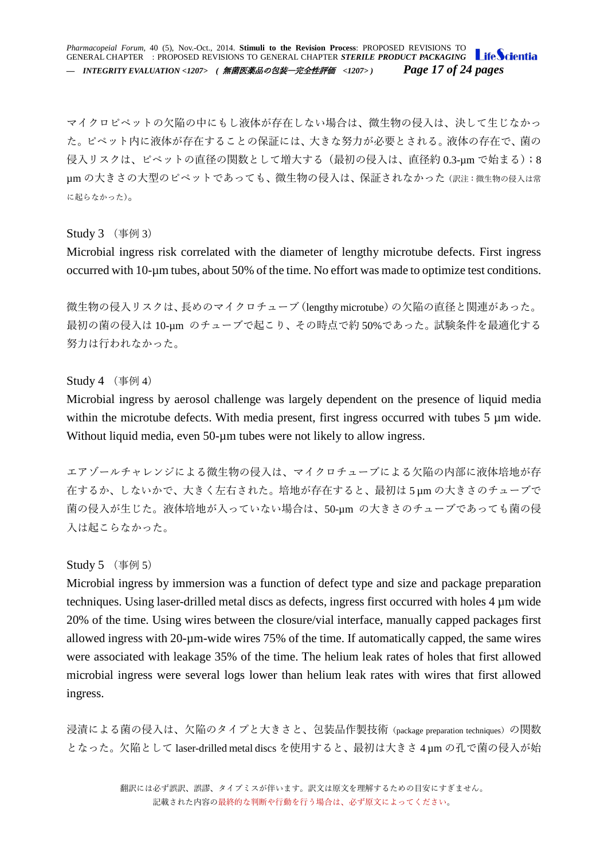*Pharmacopeial Forum,* 40 (5), Nov.-Oct., 2014. **Stimuli to the Revision Process**: PROPOSED REVISIONS TO GENERAL CHAPTER : PROPOSED REVISIONS TO GENERAL CHAPTER *STERILE PRODUCT PACKAGING — INTEGRITY EVALUATION <1207> (* 無菌医薬品の包装―完全性評価 *<1207> ) Page 17 of 24 pages*

マイクロピペットの欠陥の中にもし液体が存在しない場合は、微生物の侵入は、決して生じなかっ た。ピペット内に液体が存在することの保証には、大きな努力が必要とされる。液体の存在で、菌の 侵入リスクは、ピペットの直径の関数として増大する(最初の侵入は、直径約 0.3-μm で始まる);8 µm の大きさの大型のピペットであっても、微生物の侵入は、保証されなかった(訳注:微生物の侵入は常 に起らなかった)。

<span id="page-16-0"></span>Study 3 (事例 3)

Microbial ingress risk correlated with the diameter of lengthy microtube defects. First ingress occurred with 10-µm tubes, about 50% of the time. No effort was made to optimize test conditions.

微生物の侵入リスクは、長めのマイクロチューブ(lengthy microtube)の欠陥の直径と関連があった。 最初の菌の侵入は 10-µm のチューブで起こり、その時点で約 50%であった。試験条件を最適化する 努力は行われなかった。

### <span id="page-16-1"></span>Study 4  $($ 事例 4)

Microbial ingress by aerosol challenge was largely dependent on the presence of liquid media within the microtube defects. With media present, first ingress occurred with tubes 5 µm wide. Without liquid media, even 50-µm tubes were not likely to allow ingress.

エアゾールチャレンジによる微生物の侵入は、マイクロチューブによる欠陥の内部に液体培地が存 在するか、しないかで、大きく左右された。培地が存在すると、最初は 5 µm の大きさのチューブで 菌の侵入が生じた。液体培地が入っていない場合は、50-µm の大きさのチューブであっても菌の侵 入は起こらなかった。

### <span id="page-16-2"></span>Study 5 (事例 5)

Microbial ingress by immersion was a function of defect type and size and package preparation techniques. Using laser-drilled metal discs as defects, ingress first occurred with holes 4 µm wide 20% of the time. Using wires between the closure/vial interface, manually capped packages first allowed ingress with 20-µm-wide wires 75% of the time. If automatically capped, the same wires were associated with leakage 35% of the time. The helium leak rates of holes that first allowed microbial ingress were several logs lower than helium leak rates with wires that first allowed ingress.

浸漬による菌の侵入は、欠陥のタイプと大きさと、包装品作製技術 (package preparation techniques) の関数 となった。欠陥として laser-drilled metal discs を使用すると、最初は大きさ 4 µm の孔で菌の侵入が始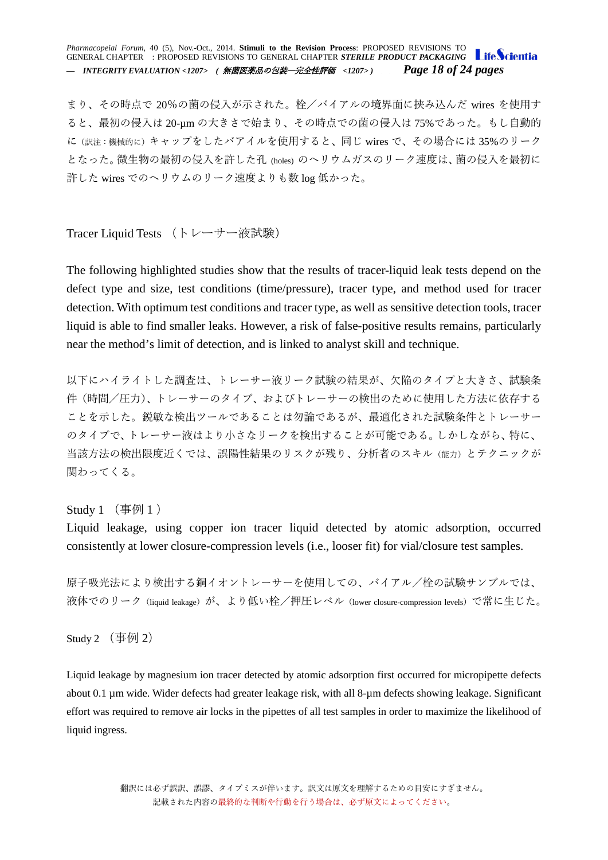*Pharmacopeial Forum,* 40 (5), Nov.-Oct., 2014. **Stimuli to the Revision Process**: PROPOSED REVISIONS TO GENERAL CHAPTER : PROPOSED REVISIONS TO GENERAL CHAPTER *STERILE PRODUCT PACKAGING — INTEGRITY EVALUATION <1207> (* 無菌医薬品の包装―完全性評価 *<1207> ) Page 18 of 24 pages*

まり、その時点で 20%の菌の侵入が示された。栓/バイアルの境界面に挟み込んだ wires を使用す ると、最初の侵入は 20-µm の大きさで始まり、その時点での菌の侵入は 75%であった。もし自動的 に(訳注:機械的に)キャップをしたバアイルを使用すると、同じ wires で、その場合には 35%のリーク となった。微生物の最初の侵入を許した孔 (holes) のヘリウムガスのリーク速度は、菌の侵入を最初に 許した wires でのヘリウムのリーク速度よりも数 log 低かった。

<span id="page-17-0"></span>Tracer Liquid Tests (トレーサー液試験)

The following highlighted studies show that the results of tracer-liquid leak tests depend on the defect type and size, test conditions (time/pressure), tracer type, and method used for tracer detection. With optimum test conditions and tracer type, as well as sensitive detection tools, tracer liquid is able to find smaller leaks. However, a risk of false-positive results remains, particularly near the method's limit of detection, and is linked to analyst skill and technique.

以下にハイライトした調査は、トレーサー液リーク試験の結果が、欠陥のタイプと大きさ、試験条 件(時間/圧力)、トレーサーのタイプ、およびトレーサーの検出のために使用した方法に依存する ことを示した。鋭敏な検出ツールであることは勿論であるが、最適化された試験条件とトレーサー のタイプで、トレーサー液はより小さなリークを検出することが可能である。しかしながら、特に、 当該方法の検出限度近くでは、誤陽性結果のリスクが残り、分析者のスキル(能力)とテクニックが 関わってくる。

<span id="page-17-1"></span>Study 1 (事例1)

Liquid leakage, using copper ion tracer liquid detected by atomic adsorption, occurred consistently at lower closure-compression levels (i.e., looser fit) for vial/closure test samples.

原子吸光法により検出する銅イオントレーサーを使用しての、バイアル/栓の試験サンプルでは、 液体でのリーク(liquid leakage)が、より低い栓/押圧レベル(lower closure-compression levels)で常に生じた。

Study 2 (事例 2)

Liquid leakage by magnesium ion tracer detected by atomic adsorption first occurred for micropipette defects about 0.1 µm wide. Wider defects had greater leakage risk, with all 8-µm defects showing leakage. Significant effort was required to remove air locks in the pipettes of all test samples in order to maximize the likelihood of liquid ingress.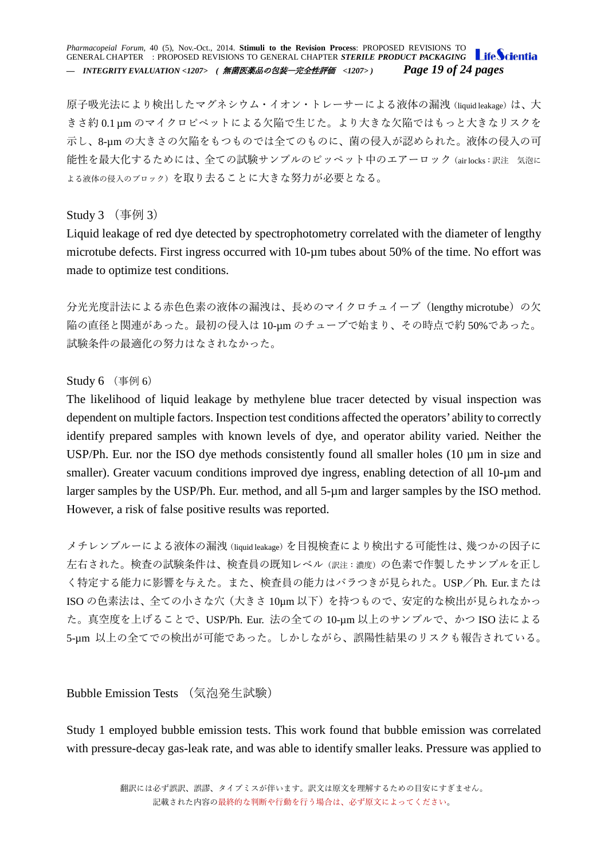*Pharmacopeial Forum,* 40 (5), Nov.-Oct., 2014. **Stimuli to the Revision Process**: PROPOSED REVISIONS TO GENERAL CHAPTER : PROPOSED REVISIONS TO GENERAL CHAPTER *STERILE PRODUCT PACKAGING — INTEGRITY EVALUATION <1207> (* 無菌医薬品の包装―完全性評価 *<1207> ) Page 19 of 24 pages*

原子吸光法により検出したマグネシウム・イオン・トレーサーによる液体の漏洩(liquid leakage)は、大 きさ約 0.1 µm のマイクロピペットによる欠陥で生じた。より大きな欠陥ではもっと大きなリスクを 示し、8-µm の大きさの欠陥をもつものでは全てのものに、菌の侵入が認められた。液体の侵入の可 能性を最大化するためには、全ての試験サンプルのピッペット中のエアーロック(air locks:訳注 気泡に よる液体の侵入のブロック)を取り去ることに大きな努力が必要となる。

### <span id="page-18-0"></span>Study  $3 \times 3$

Liquid leakage of red dye detected by spectrophotometry correlated with the diameter of lengthy microtube defects. First ingress occurred with 10-µm tubes about 50% of the time. No effort was made to optimize test conditions.

分光光度計法による赤色色素の液体の漏洩は、長めのマイクロチュイーブ (lengthy microtube)の欠 陥の直径と関連があった。最初の侵入は 10-µm のチューブで始まり、その時点で約 50%であった。 試験条件の最適化の努力はなされなかった。

### <span id="page-18-1"></span> $Study 6$  (事例 6)

The likelihood of liquid leakage by methylene blue tracer detected by visual inspection was dependent on multiple factors. Inspection test conditions affected the operators' ability to correctly identify prepared samples with known levels of dye, and operator ability varied. Neither the USP/Ph. Eur. nor the ISO dye methods consistently found all smaller holes (10  $\mu$ m in size and smaller). Greater vacuum conditions improved dye ingress, enabling detection of all 10-um and larger samples by the USP/Ph. Eur. method, and all 5-µm and larger samples by the ISO method. However, a risk of false positive results was reported.

メチレンブルーによる液体の漏洩(liquid leakage)を目視検査により検出する可能性は、幾つかの因子に 左右された。検査の試験条件は、検査員の既知レベル(訳注:濃度)の色素で作製したサンプルを正し く特定する能力に影響を与えた。また、検査員の能力はバラつきが見られた。USP/Ph. Eur.または ISO の色素法は、全ての小さな穴(大きさ 10µm 以下)を持つもので、安定的な検出が見られなかっ た。真空度を上げることで、USP/Ph. Eur. 法の全ての 10-µm 以上のサンプルで、かつ ISO 法による 5-µm 以上の全てでの検出が可能であった。しかしながら、誤陽性結果のリスクも報告されている。

<span id="page-18-2"></span>Bubble Emission Tests (気泡発生試験)

Study 1 employed bubble emission tests. This work found that bubble emission was correlated with pressure-decay gas-leak rate, and was able to identify smaller leaks. Pressure was applied to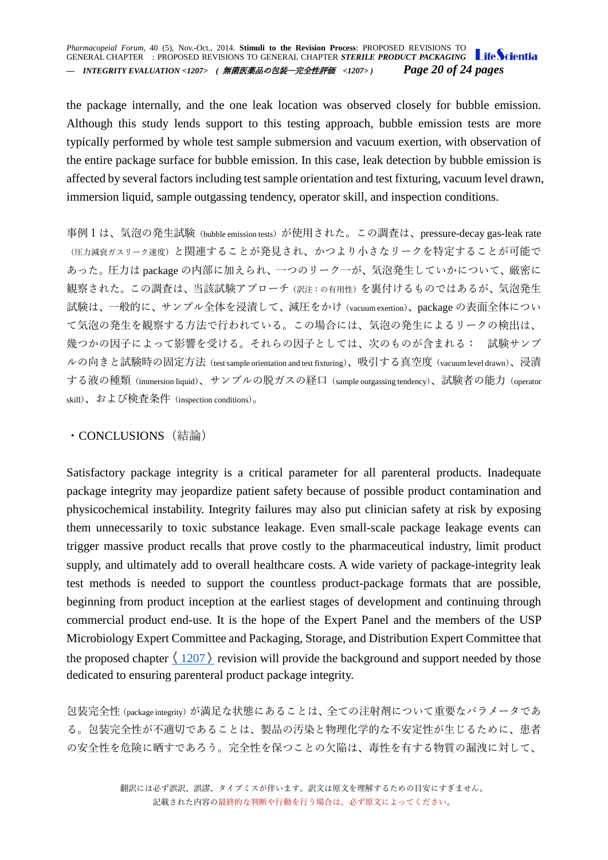the package internally, and the one leak location was observed closely for bubble emission. Although this study lends support to this testing approach, bubble emission tests are more typically performed by whole test sample submersion and vacuum exertion, with observation of the entire package surface for bubble emission. In this case, leak detection by bubble emission is affected by several factors including test sample orientation and test fixturing, vacuum level drawn, immersion liquid, sample outgassing tendency, operator skill, and inspection conditions.

事例1は、気泡の発生試験 (bubble emission tests) が使用された。この調査は、pressure-decay gas-leak rate (圧力減衰ガスリーク速度)と関連することが発見され、かつより小さなリークを特定することが可能で あった。圧力は package の内部に加えられ、一つのリーク一が、気泡発生していかについて、厳密に 観察された。この調査は、当該試験アプローチ(訳注:の有用性)を裏付けるものではあるが、気泡発生 試験は、一般的に、サンプル全体を浸漬して、減圧をかけ(vacuum exertion)、package の表面全体につい て気泡の発生を観察する方法で行われている。この場合には、気泡の発生によるリークの検出は、 幾つかの因子によって影響を受ける。それらの因子としては、次のものが含まれる: 試験サンプ ルの向きと試験時の固定方法(test sample orientation and test fixturing)、吸引する真空度(vacuum level drawn)、浸漬 する液の種類(immersion liquid)、サンプルの脱ガスの経口(sample outgassing tendency)、試験者の能力(operator skill)、および検査条件(inspection conditions)。

### <span id="page-19-0"></span>・CONCLUSIONS(結論)

Satisfactory package integrity is a critical parameter for all parenteral products. Inadequate package integrity may jeopardize patient safety because of possible product contamination and physicochemical instability. Integrity failures may also put clinician safety at risk by exposing them unnecessarily to toxic substance leakage. Even small-scale package leakage events can trigger massive product recalls that prove costly to the pharmaceutical industry, limit product supply, and ultimately add to overall healthcare costs. A wide variety of package-integrity leak test methods is needed to support the countless product-package formats that are possible, beginning from product inception at the earliest stages of development and continuing through commercial product end-use. It is the hope of the Expert Panel and the members of the USP Microbiology Expert Committee and Packaging, Storage, and Distribution Expert Committee that the proposed chapter  $\langle 1207 \rangle$  $\langle 1207 \rangle$  $\langle 1207 \rangle$  revision will provide the background and support needed by those dedicated to ensuring parenteral product package integrity.

包装完全性(package integrity)が満足な状態にあることは、全ての注射剤について重要なパラメータであ る。包装完全性が不適切であることは、製品の汚染と物理化学的な不安定性が生じるために、患者 の安全性を危険に晒すであろう。完全性を保つことの欠陥は、毒性を有する物質の漏洩に対して、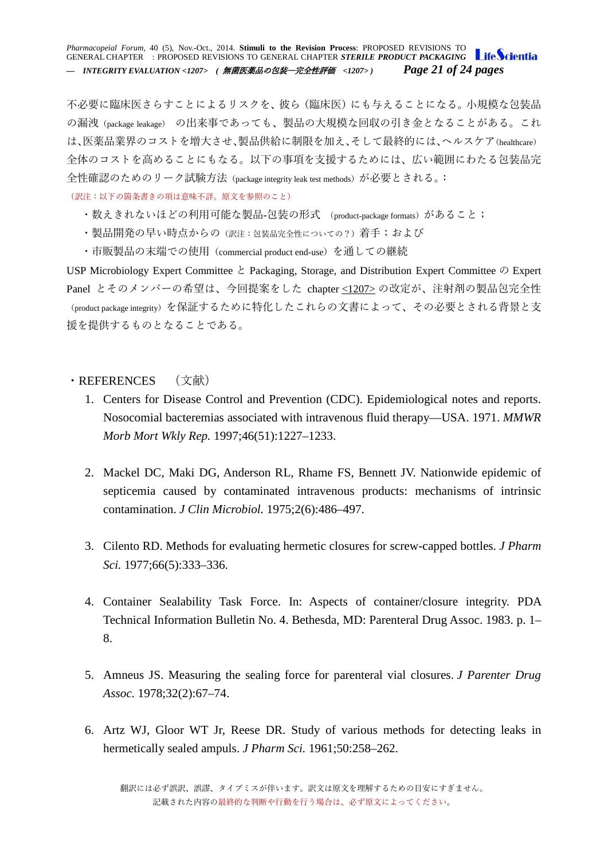#### *Pharmacopeial Forum,* 40 (5), Nov.-Oct., 2014. **Stimuli to the Revision Process**: PROPOSED REVISIONS TO GENERAL CHAPTER : PROPOSED REVISIONS TO GENERAL CHAPTER *STERILE PRODUCT PACKAGING* Life Scientia *— INTEGRITY EVALUATION <1207> (* 無菌医薬品の包装―完全性評価 *<1207> ) Page 21 of 24 pages*

不必要に臨床医さらすことによるリスクを、彼ら(臨床医)にも与えることになる。小規模な包装品 の漏洩(package leakage) の出来事であっても、製品の大規模な回収の引き金となることがある。これ は、医薬品業界のコストを増大させ、製品供給に制限を加え、そして最終的には、ヘルスケア(healthcare) 全体のコストを高めることにもなる。以下の事項を支援するためには、広い範囲にわたる包装品完 全性確認のためのリーク試験方法(package integrity leak test methods)が必要とされる。:

(訳注:以下の箇条書きの項は意味不詳。原文を参照のこと)

- ・数えきれないほどの利用可能な製品-包装の形式 (product-package formats)があること;
- ・製品開発の早い時点からの(訳注:包装品完全性についての?)着手;および
- ・市販製品の末端での使用(commercial product end-use)を通しての継続

USP Microbiology Expert Committee と Packaging, Storage, and Distribution Expert Committee の Expert Panel とそのメンバーの希望は、今回提案をした chapter [<1207>](http://www.usppf.com/pf/pub/data/v405/CHA_IPR_405_c1207.html%23CHA_IPR_405_c1207) の改定が、注射剤の製品包完全性 (product package integrity)を保証するために特化したこれらの文書によって、その必要とされる背景と支 援を提供するものとなることである。

### <span id="page-20-0"></span>・REFERENCES (文献)

- 1. Centers for Disease Control and Prevention (CDC). Epidemiological notes and reports. Nosocomial bacteremias associated with intravenous fluid therapy—USA. 1971. *MMWR Morb Mort Wkly Rep.* 1997;46(51):1227–1233.
- 2. Mackel DC, Maki DG, Anderson RL, Rhame FS, Bennett JV. Nationwide epidemic of septicemia caused by contaminated intravenous products: mechanisms of intrinsic contamination. *J Clin Microbiol.* 1975;2(6):486–497.
- 3. Cilento RD. Methods for evaluating hermetic closures for screw-capped bottles. *J Pharm Sci.* 1977;66(5):333–336.
- 4. Container Sealability Task Force. In: Aspects of container/closure integrity. PDA Technical Information Bulletin No. 4. Bethesda, MD: Parenteral Drug Assoc. 1983. p. 1– 8.
- 5. Amneus JS. Measuring the sealing force for parenteral vial closures. *J Parenter Drug Assoc.* 1978;32(2):67–74.
- 6. Artz WJ, Gloor WT Jr, Reese DR. Study of various methods for detecting leaks in hermetically sealed ampuls. *J Pharm Sci.* 1961;50:258–262.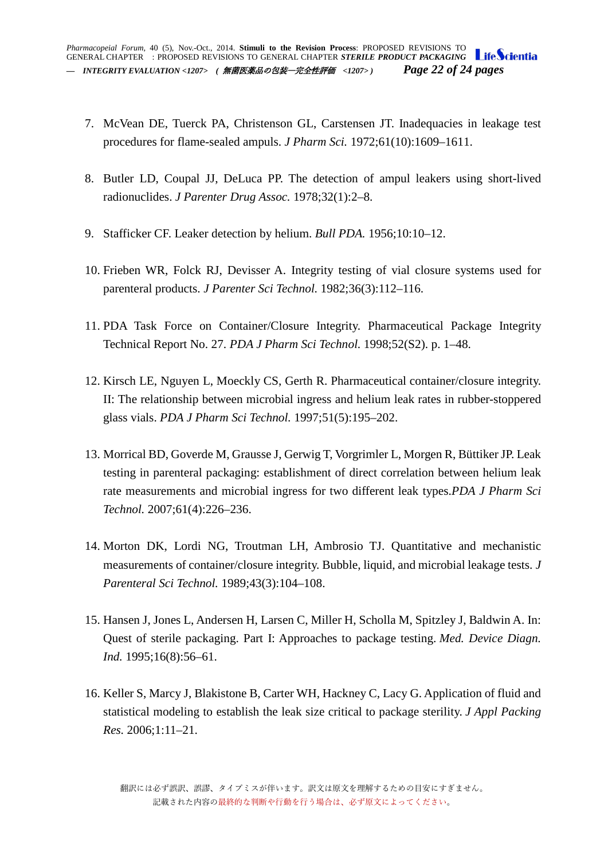- 7. McVean DE, Tuerck PA, Christenson GL, Carstensen JT. Inadequacies in leakage test procedures for flame-sealed ampuls. *J Pharm Sci.* 1972;61(10):1609–1611.
- 8. Butler LD, Coupal JJ, DeLuca PP. The detection of ampul leakers using short-lived radionuclides. *J Parenter Drug Assoc.* 1978;32(1):2–8.
- 9. Stafficker CF. Leaker detection by helium. *Bull PDA.* 1956;10:10–12.
- 10. Frieben WR, Folck RJ, Devisser A. Integrity testing of vial closure systems used for parenteral products. *J Parenter Sci Technol.* 1982;36(3):112–116.
- 11. PDA Task Force on Container/Closure Integrity. Pharmaceutical Package Integrity Technical Report No. 27. *PDA J Pharm Sci Technol.* 1998;52(S2). p. 1–48.
- 12. Kirsch LE, Nguyen L, Moeckly CS, Gerth R. Pharmaceutical container/closure integrity. II: The relationship between microbial ingress and helium leak rates in rubber-stoppered glass vials. *PDA J Pharm Sci Technol.* 1997;51(5):195–202.
- 13. Morrical BD, Goverde M, Grausse J, Gerwig T, Vorgrimler L, Morgen R, Büttiker JP. Leak testing in parenteral packaging: establishment of direct correlation between helium leak rate measurements and microbial ingress for two different leak types.*PDA J Pharm Sci Technol.* 2007;61(4):226–236.
- 14. Morton DK, Lordi NG, Troutman LH, Ambrosio TJ. Quantitative and mechanistic measurements of container/closure integrity. Bubble, liquid, and microbial leakage tests. *J Parenteral Sci Technol.* 1989;43(3):104–108.
- 15. Hansen J, Jones L, Andersen H, Larsen C, Miller H, Scholla M, Spitzley J, Baldwin A. In: Quest of sterile packaging. Part I: Approaches to package testing. *Med. Device Diagn. Ind.* 1995;16(8):56–61.
- 16. Keller S, Marcy J, Blakistone B, Carter WH, Hackney C, Lacy G. Application of fluid and statistical modeling to establish the leak size critical to package sterility. *J Appl Packing Res.* 2006;1:11–21.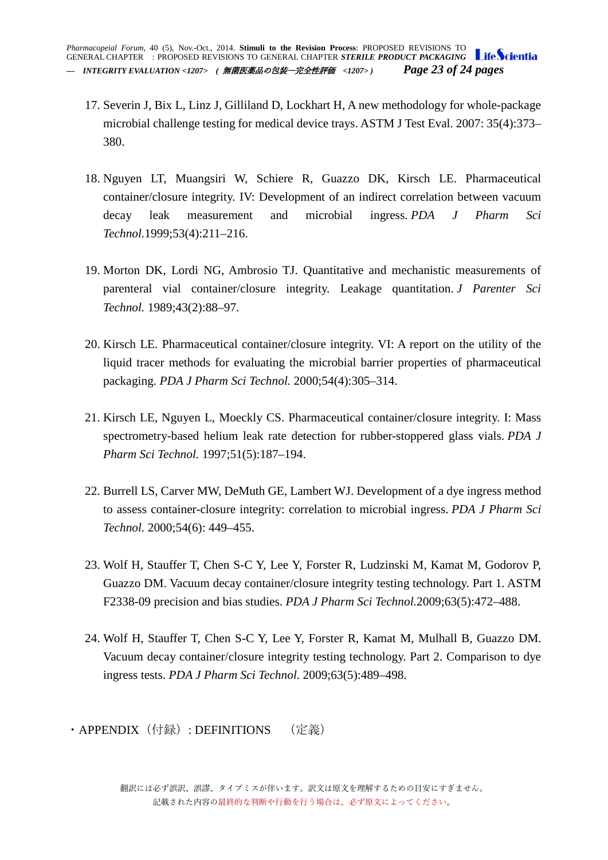- 17. Severin J, Bix L, Linz J, Gilliland D, Lockhart H, A new methodology for whole-package microbial challenge testing for medical device trays. ASTM J Test Eval. 2007: 35(4):373– 380.
- 18. Nguyen LT, Muangsiri W, Schiere R, Guazzo DK, Kirsch LE. Pharmaceutical container/closure integrity. IV: Development of an indirect correlation between vacuum decay leak measurement and microbial ingress. *PDA J Pharm Sci Technol.*1999;53(4):211–216.
- 19. Morton DK, Lordi NG, Ambrosio TJ. Quantitative and mechanistic measurements of parenteral vial container/closure integrity. Leakage quantitation. *J Parenter Sci Technol.* 1989;43(2):88–97.
- 20. Kirsch LE. Pharmaceutical container/closure integrity. VI: A report on the utility of the liquid tracer methods for evaluating the microbial barrier properties of pharmaceutical packaging. *PDA J Pharm Sci Technol.* 2000;54(4):305–314.
- 21. Kirsch LE, Nguyen L, Moeckly CS. Pharmaceutical container/closure integrity. I: Mass spectrometry-based helium leak rate detection for rubber-stoppered glass vials. *PDA J Pharm Sci Technol.* 1997;51(5):187–194.
- 22. Burrell LS, Carver MW, DeMuth GE, Lambert WJ. Development of a dye ingress method to assess container-closure integrity: correlation to microbial ingress. *PDA J Pharm Sci Technol.* 2000;54(6): 449–455.
- 23. Wolf H, Stauffer T, Chen S-C Y, Lee Y, Forster R, Ludzinski M, Kamat M, Godorov P, Guazzo DM. Vacuum decay container/closure integrity testing technology. Part 1. ASTM F2338-09 precision and bias studies. *PDA J Pharm Sci Technol.*2009;63(5):472–488.
- 24. Wolf H, Stauffer T, Chen S-C Y, Lee Y, Forster R, Kamat M, Mulhall B, Guazzo DM. Vacuum decay container/closure integrity testing technology. Part 2. Comparison to dye ingress tests. *PDA J Pharm Sci Technol.* 2009;63(5):489–498.
- <span id="page-22-0"></span>· APPENDIX (付録): DEFINITIONS (定義)